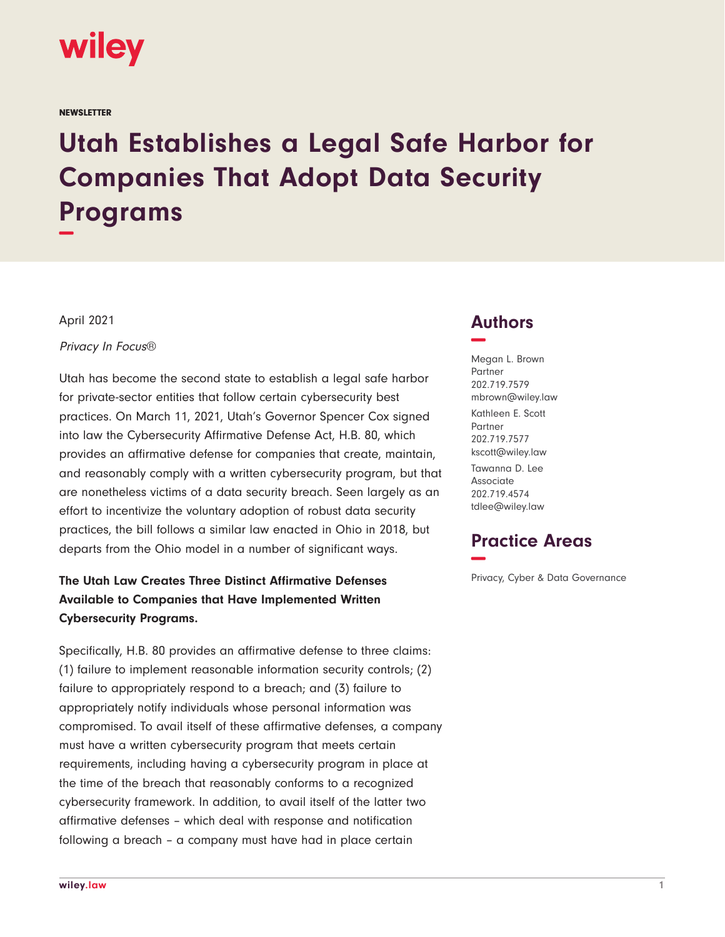

**NEWSLETTER** 

# **Utah Establishes a Legal Safe Harbor for Companies That Adopt Data Security Programs −**

April 2021

Privacy In Focus®

Utah has become the second state to establish a legal safe harbor for private-sector entities that follow certain cybersecurity best practices. On March 11, 2021, Utah's Governor Spencer Cox signed into law the Cybersecurity Affirmative Defense Act, H.B. 80, which provides an affirmative defense for companies that create, maintain, and reasonably comply with a written cybersecurity program, but that are nonetheless victims of a data security breach. Seen largely as an effort to incentivize the voluntary adoption of robust data security practices, the bill follows a similar law enacted in Ohio in 2018, but departs from the Ohio model in a number of significant ways.

## **The Utah Law Creates Three Distinct Affirmative Defenses Available to Companies that Have Implemented Written Cybersecurity Programs.**

Specifically, H.B. 80 provides an affirmative defense to three claims: (1) failure to implement reasonable information security controls; (2) failure to appropriately respond to a breach; and (3) failure to appropriately notify individuals whose personal information was compromised. To avail itself of these affirmative defenses, a company must have a written cybersecurity program that meets certain requirements, including having a cybersecurity program in place at the time of the breach that reasonably conforms to a recognized cybersecurity framework. In addition, to avail itself of the latter two affirmative defenses – which deal with response and notification following a breach – a company must have had in place certain

## **Authors −**

Megan L. Brown Partner 202.719.7579 mbrown@wiley.law Kathleen E. Scott Partner 202.719.7577 kscott@wiley.law

Tawanna D. Lee Associate 202.719.4574 tdlee@wiley.law

## **Practice Areas −**

Privacy, Cyber & Data Governance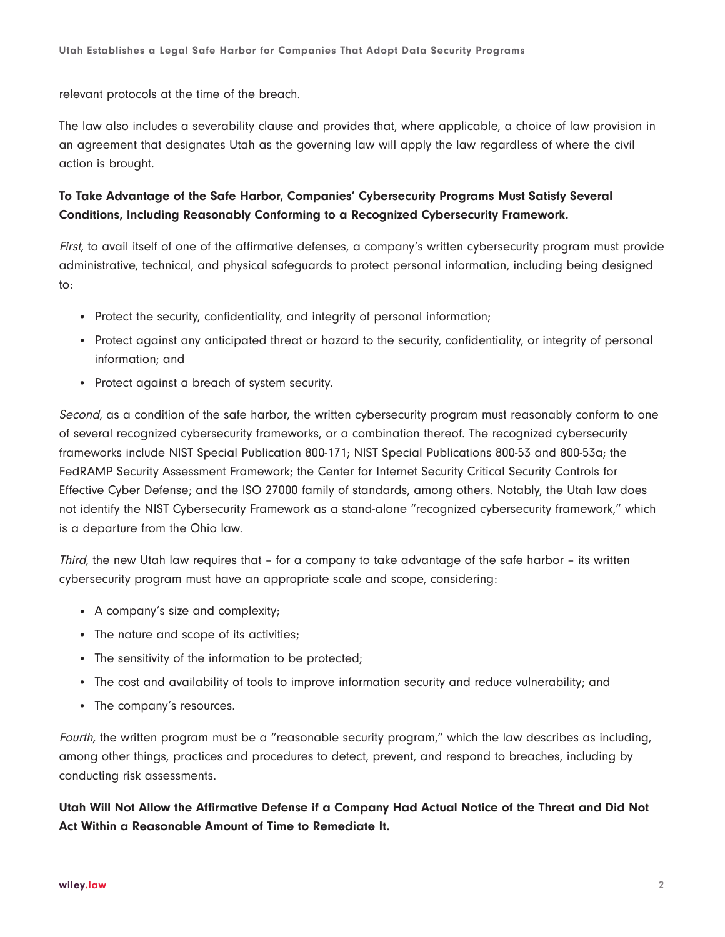relevant protocols at the time of the breach.

The law also includes a severability clause and provides that, where applicable, a choice of law provision in an agreement that designates Utah as the governing law will apply the law regardless of where the civil action is brought.

#### **To Take Advantage of the Safe Harbor, Companies' Cybersecurity Programs Must Satisfy Several Conditions, Including Reasonably Conforming to a Recognized Cybersecurity Framework.**

First, to avail itself of one of the affirmative defenses, a company's written cybersecurity program must provide administrative, technical, and physical safeguards to protect personal information, including being designed to:

- Protect the security, confidentiality, and integrity of personal information;
- Protect against any anticipated threat or hazard to the security, confidentiality, or integrity of personal information; and
- Protect against a breach of system security.

Second, as a condition of the safe harbor, the written cybersecurity program must reasonably conform to one of several recognized cybersecurity frameworks, or a combination thereof. The recognized cybersecurity frameworks include NIST Special Publication 800-171; NIST Special Publications 800-53 and 800-53a; the FedRAMP Security Assessment Framework; the Center for Internet Security Critical Security Controls for Effective Cyber Defense; and the ISO 27000 family of standards, among others. Notably, the Utah law does not identify the NIST Cybersecurity Framework as a stand-alone "recognized cybersecurity framework," which is a departure from the Ohio law.

Third, the new Utah law requires that - for a company to take advantage of the safe harbor - its written cybersecurity program must have an appropriate scale and scope, considering:

- A company's size and complexity;
- The nature and scope of its activities;
- The sensitivity of the information to be protected;
- The cost and availability of tools to improve information security and reduce vulnerability; and
- The company's resources.

Fourth, the written program must be a "reasonable security program," which the law describes as including, among other things, practices and procedures to detect, prevent, and respond to breaches, including by conducting risk assessments.

**Utah Will Not Allow the Affirmative Defense if a Company Had Actual Notice of the Threat and Did Not Act Within a Reasonable Amount of Time to Remediate It.**